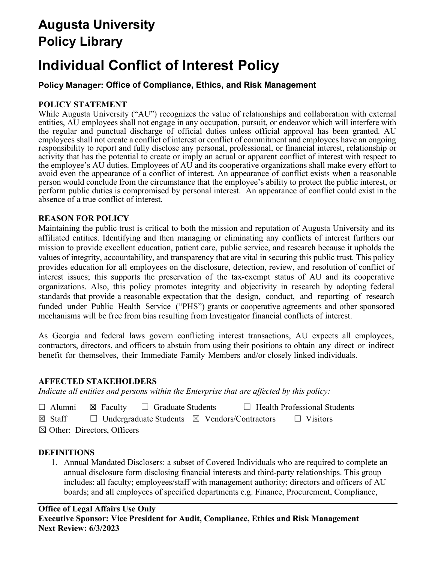## **Augusta University Policy Library**

# **Individual Conflict of Interest Policy**

## **Policy Manager: Office of Compliance, Ethics, and Risk Management**

## **POLICY STATEMENT**

While Augusta University ("AU") recognizes the value of relationships and collaboration with external entities, AU employees shall not engage in any occupation, pursuit, or endeavor which will interfere with the regular and punctual discharge of official duties unless official approval has been granted. AU employees shall not create a conflict of interest or conflict of commitment and employees have an ongoing responsibility to report and fully disclose any personal, professional, or financial interest, relationship or activity that has the potential to create or imply an actual or apparent conflict of interest with respect to the employee's AU duties. Employees of AU and its cooperative organizations shall make every effort to avoid even the appearance of a conflict of interest. An appearance of conflict exists when a reasonable person would conclude from the circumstance that the employee's ability to protect the public interest, or perform public duties is compromised by personal interest. An appearance of conflict could exist in the absence of a true conflict of interest.

## **REASON FOR POLICY**

Maintaining the public trust is critical to both the mission and reputation of Augusta University and its affiliated entities. Identifying and then managing or eliminating any conflicts of interest furthers our mission to provide excellent education, patient care, public service, and research because it upholds the values of integrity, accountability, and transparency that are vital in securing this public trust. This policy provides education for all employees on the disclosure, detection, review, and resolution of conflict of interest issues; this supports the preservation of the tax-exempt status of AU and its cooperative organizations. Also, this policy promotes integrity and objectivity in research by adopting federal standards that provide a reasonable expectation that the design, conduct, and reporting of research funded under Public Health Service ("PHS") grants or cooperative agreements and other sponsored mechanisms will be free from bias resulting from Investigator financial conflicts of interest.

As Georgia and federal laws govern conflicting interest transactions, AU expects all employees, contractors, directors, and officers to abstain from using their positions to obtain any direct or indirect benefit for themselves, their Immediate Family Members and/or closely linked individuals.

## **AFFECTED STAKEHOLDERS**

*Indicate all entities and persons within the Enterprise that are affected by this policy:* 

- ☐ Alumni ☒ Faculty ☐ Graduate Students ☐ Health Professional Students
- ☒ Staff ☐ Undergraduate Students ☒ Vendors/Contractors ☐ Visitors
- ☒ Other: Directors, Officers

## **DEFINITIONS**

1. Annual Mandated Disclosers: a subset of Covered Individuals who are required to complete an annual disclosure form disclosing financial interests and third-party relationships. This group includes: all faculty; employees/staff with management authority; directors and officers of AU boards; and all employees of specified departments e.g. Finance, Procurement, Compliance,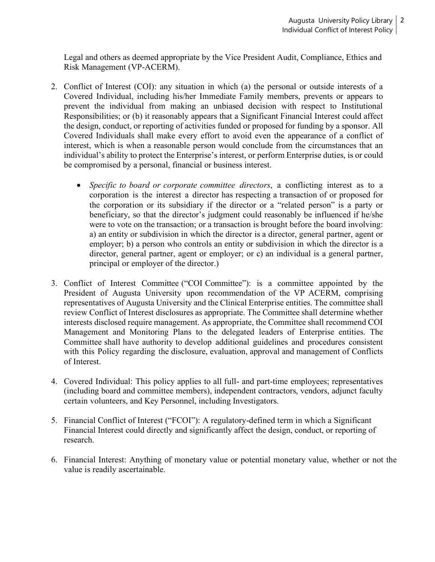Legal and others as deemed appropriate by the Vice President Audit, Compliance, Ethics and Risk Management (VP-ACERM).

- 2. Conflict of Interest (COI): any situation in which (a) the personal or outside interests of a Covered Individual, including his/her Immediate Family members, prevents or appears to prevent the individual from making an unbiased decision with respect to Institutional Responsibilities; or (b) it reasonably appears that a Significant Financial Interest could affect the design, conduct, or reporting of activities funded or proposed for funding by a sponsor. All Covered Individuals shall make every effort to avoid even the appearance of a conflict of interest, which is when a reasonable person would conclude from the circumstances that an individual's ability to protect the Enterprise's interest, or perform Enterprise duties, is or could be compromised by a personal, financial or business interest.
	- *Specific to board or corporate committee directors*, a conflicting interest as to a corporation is the interest a director has respecting a transaction of or proposed for the corporation or its subsidiary if the director or a "related person" is a party or beneficiary, so that the director's judgment could reasonably be influenced if he/she were to vote on the transaction; or a transaction is brought before the board involving: a) an entity or subdivision in which the director is a director, general partner, agent or employer; b) a person who controls an entity or subdivision in which the director is a director, general partner, agent or employer; or c) an individual is a general partner, principal or employer of the director.)
- 3. Conflict of Interest Committee ("COI Committee"): is a committee appointed by the President of Augusta University upon recommendation of the VP ACERM, comprising representatives of Augusta University and the Clinical Enterprise entities. The committee shall review Conflict of Interest disclosures as appropriate. The Committee shall determine whether interests disclosed require management. As appropriate, the Committee shall recommend COI Management and Monitoring Plans to the delegated leaders of Enterprise entities. The Committee shall have authority to develop additional guidelines and procedures consistent with this Policy regarding the disclosure, evaluation, approval and management of Conflicts of Interest.
- 4. Covered Individual: This policy applies to all full- and part-time employees; representatives (including board and committee members), independent contractors, vendors, adjunct faculty certain volunteers, and Key Personnel, including Investigators.
- 5. Financial Conflict of Interest ("FCOI"): A regulatory-defined term in which a Significant Financial Interest could directly and significantly affect the design, conduct, or reporting of research.
- 6. Financial Interest: Anything of monetary value or potential monetary value, whether or not the value is readily ascertainable.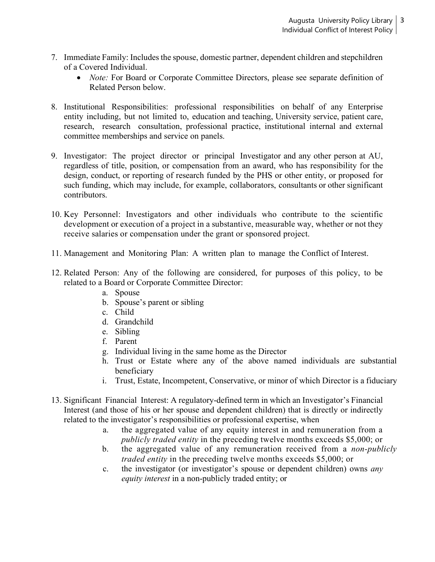- 7. Immediate Family: Includes the spouse, domestic partner, dependent children and stepchildren of a Covered Individual.
	- *Note:* For Board or Corporate Committee Directors, please see separate definition of Related Person below.
- 8. Institutional Responsibilities: professional responsibilities on behalf of any Enterprise entity including, but not limited to, education and teaching, University service, patient care, research, research consultation, professional practice, institutional internal and external committee memberships and service on panels.
- 9. Investigator: The project director or principal Investigator and any other person at AU, regardless of title, position, or compensation from an award, who has responsibility for the design, conduct, or reporting of research funded by the PHS or other entity, or proposed for such funding, which may include, for example, collaborators, consultants or other significant contributors.
- 10. Key Personnel: Investigators and other individuals who contribute to the scientific development or execution of a project in a substantive, measurable way, whether or not they receive salaries or compensation under the grant or sponsored project.
- 11. Management and Monitoring Plan: A written plan to manage the Conflict of Interest.
- 12. Related Person: Any of the following are considered, for purposes of this policy, to be related to a Board or Corporate Committee Director:
	- a. Spouse
	- b. Spouse's parent or sibling
	- c. Child
	- d. Grandchild
	- e. Sibling
	- f. Parent
	- g. Individual living in the same home as the Director
	- h. Trust or Estate where any of the above named individuals are substantial beneficiary
	- i. Trust, Estate, Incompetent, Conservative, or minor of which Director is a fiduciary
- 13. Significant Financial Interest: A regulatory-defined term in which an Investigator's Financial Interest (and those of his or her spouse and dependent children) that is directly or indirectly related to the investigator's responsibilities or professional expertise, when
	- a. the aggregated value of any equity interest in and remuneration from a *publicly traded entity* in the preceding twelve months exceeds \$5,000; or
	- b. the aggregated value of any remuneration received from a *non-publicly traded entity* in the preceding twelve months exceeds \$5,000; or
	- c. the investigator (or investigator's spouse or dependent children) owns *any equity interest* in a non-publicly traded entity; or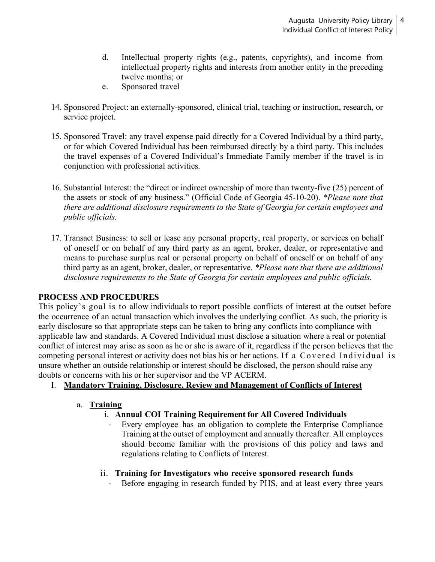- d. Intellectual property rights (e.g., patents, copyrights), and income from intellectual property rights and interests from another entity in the preceding twelve months; or
- e. Sponsored travel
- 14. Sponsored Project: an externally-sponsored, clinical trial, teaching or instruction, research, or service project.
- 15. Sponsored Travel: any travel expense paid directly for a Covered Individual by a third party, or for which Covered Individual has been reimbursed directly by a third party. This includes the travel expenses of a Covered Individual's Immediate Family member if the travel is in conjunction with professional activities.
- 16. Substantial Interest: the "direct or indirect ownership of more than twenty-five (25) percent of the assets or stock of any business." (Official Code of Georgia 45-10-20). *\*Please note that there are additional disclosure requirements to the State of Georgia for certain employees and public officials.*
- 17. Transact Business: to sell or lease any personal property, real property, or services on behalf of oneself or on behalf of any third party as an agent, broker, dealer, or representative and means to purchase surplus real or personal property on behalf of oneself or on behalf of any third party as an agent, broker, dealer, or representative. *\*Please note that there are additional disclosure requirements to the State of Georgia for certain employees and public officials.*

## **PROCESS AND PROCEDURES**

This policy's goal is to allow individuals to report possible conflicts of interest at the outset before the occurrence of an actual transaction which involves the underlying conflict. As such, the priority is early disclosure so that appropriate steps can be taken to bring any conflicts into compliance with applicable law and standards. A Covered Individual must disclose a situation where a real or potential conflict of interest may arise as soon as he or she is aware of it, regardless if the person believes that the competing personal interest or activity does not bias his or her actions. If a Covered Individual is unsure whether an outside relationship or interest should be disclosed, the person should raise any doubts or concerns with his or her supervisor and the VP ACERM.

## I. **Mandatory Training, Disclosure, Review and Management of Conflicts of Interest**

## a. **Training**

## i. **Annual COI Training Requirement for All Covered Individuals**

Every employee has an obligation to complete the Enterprise Compliance Training at the outset of employment and annually thereafter. All employees should become familiar with the provisions of this policy and laws and regulations relating to Conflicts of Interest.

## ii. **Training for Investigators who receive sponsored research funds**

Before engaging in research funded by PHS, and at least every three years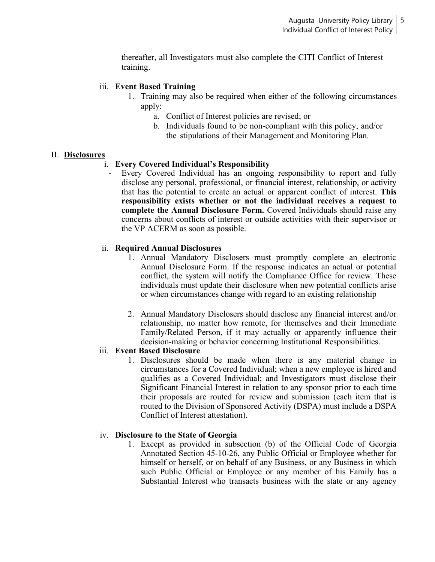thereafter, all Investigators must also complete the CITI Conflict of Interest training.

#### iii. **Event Based Training**

- 1. Training may also be required when either of the following circumstances apply:
	- a. Conflict of Interest policies are revised; or
	- b. Individuals found to be non-compliant with this policy, and/or the stipulations of their Management and Monitoring Plan.

#### II. **Disclosures**

#### i. **Every Covered Individual's Responsibility**

Every Covered Individual has an ongoing responsibility to report and fully disclose any personal, professional, or financial interest, relationship, or activity that has the potential to create an actual or apparent conflict of interest. **This responsibility exists whether or not the individual receives a request to complete the Annual Disclosure Form.** Covered Individuals should raise any concerns about conflicts of interest or outside activities with their supervisor or the VP ACERM as soon as possible.

#### ii. **Required Annual Disclosures**

- 1. Annual Mandatory Disclosers must promptly complete an electronic Annual Disclosure Form. If the response indicates an actual or potential conflict, the system will notify the Compliance Office for review. These individuals must update their disclosure when new potential conflicts arise or when circumstances change with regard to an existing relationship
- 2. Annual Mandatory Disclosers should disclose any financial interest and/or relationship, no matter how remote, for themselves and their Immediate Family/Related Person, if it may actually or apparently influence their decision-making or behavior concerning Institutional Responsibilities.

#### iii. **Event Based Disclosure**

1. Disclosures should be made when there is any material change in circumstances for a Covered Individual; when a new employee is hired and qualifies as a Covered Individual; and Investigators must disclose their Significant Financial Interest in relation to any sponsor prior to each time their proposals are routed for review and submission (each item that is routed to the Division of Sponsored Activity (DSPA) must include a DSPA Conflict of Interest attestation).

#### iv. **Disclosure to the State of Georgia**

1. Except as provided in subsection (b) of the Official Code of Georgia Annotated Section 45-10-26, any Public Official or Employee whether for himself or herself, or on behalf of any Business, or any Business in which such Public Official or Employee or any member of his Family has a Substantial Interest who transacts business with the state or any agency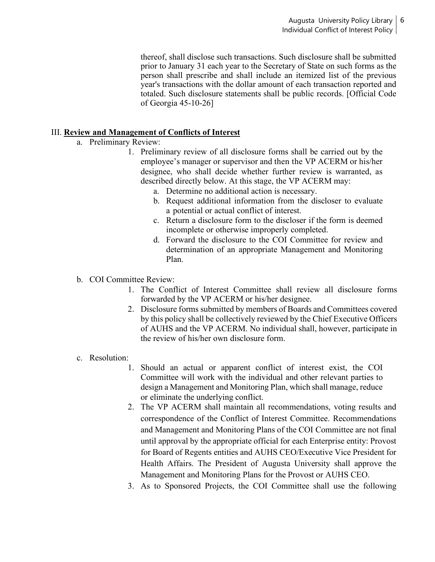thereof, shall disclose such transactions. Such disclosure shall be submitted prior to January 31 each year to the Secretary of State on such forms as the person shall prescribe and shall include an itemized list of the previous year's transactions with the dollar amount of each transaction reported and totaled. Such disclosure statements shall be public records. [Official Code of Georgia 45-10-26]

## III. **Review and Management of Conflicts of Interest**

- a. Preliminary Review:
	- 1. Preliminary review of all disclosure forms shall be carried out by the employee's manager or supervisor and then the VP ACERM or his/her designee, who shall decide whether further review is warranted, as described directly below. At this stage, the VP ACERM may:
		- a. Determine no additional action is necessary.
		- b. Request additional information from the discloser to evaluate a potential or actual conflict of interest.
		- c. Return a disclosure form to the discloser if the form is deemed incomplete or otherwise improperly completed.
		- d. Forward the disclosure to the COI Committee for review and determination of an appropriate Management and Monitoring Plan.
- b. COI Committee Review:
	- 1. The Conflict of Interest Committee shall review all disclosure forms forwarded by the VP ACERM or his/her designee.
	- 2. Disclosure forms submitted by members of Boards and Committees covered by this policy shall be collectively reviewed by the Chief Executive Officers of AUHS and the VP ACERM. No individual shall, however, participate in the review of his/her own disclosure form.
- c. Resolution:
	- 1. Should an actual or apparent conflict of interest exist, the COI Committee will work with the individual and other relevant parties to design a Management and Monitoring Plan, which shall manage, reduce or eliminate the underlying conflict.
	- 2. The VP ACERM shall maintain all recommendations, voting results and correspondence of the Conflict of Interest Committee. Recommendations and Management and Monitoring Plans of the COI Committee are not final until approval by the appropriate official for each Enterprise entity: Provost for Board of Regents entities and AUHS CEO/Executive Vice President for Health Affairs. The President of Augusta University shall approve the Management and Monitoring Plans for the Provost or AUHS CEO.
	- 3. As to Sponsored Projects, the COI Committee shall use the following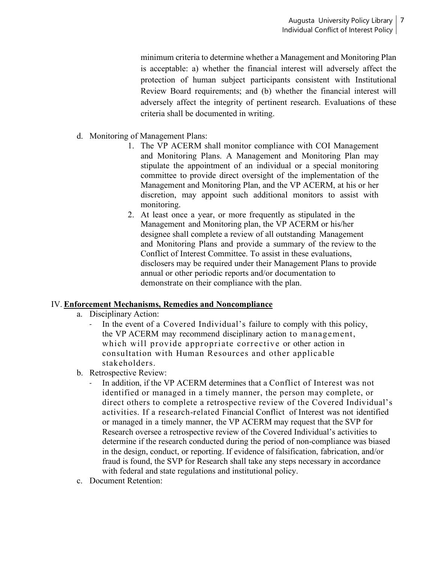minimum criteria to determine whether a Management and Monitoring Plan is acceptable: a) whether the financial interest will adversely affect the protection of human subject participants consistent with Institutional Review Board requirements; and (b) whether the financial interest will adversely affect the integrity of pertinent research. Evaluations of these criteria shall be documented in writing.

- d. Monitoring of Management Plans:
	- 1. The VP ACERM shall monitor compliance with COI Management and Monitoring Plans. A Management and Monitoring Plan may stipulate the appointment of an individual or a special monitoring committee to provide direct oversight of the implementation of the Management and Monitoring Plan, and the VP ACERM, at his or her discretion, may appoint such additional monitors to assist with monitoring.
	- 2. At least once a year, or more frequently as stipulated in the Management and Monitoring plan, the VP ACERM or his/her designee shall complete a review of all outstanding Management and Monitoring Plans and provide a summary of the review to the Conflict of Interest Committee. To assist in these evaluations, disclosers may be required under their Management Plans to provide annual or other periodic reports and/or documentation to demonstrate on their compliance with the plan.

## IV. **Enforcement Mechanisms, Remedies and Noncompliance**

- a. Disciplinary Action:
	- In the event of a Covered Individual's failure to comply with this policy, the VP ACERM may recommend disciplinary action to management, which will provide appropriate corrective or other action in consultation with Human Resources and other applicable stakeholders.
- b. Retrospective Review:
	- In addition, if the VP ACERM determines that a Conflict of Interest was not identified or managed in a timely manner, the person may complete, or direct others to complete a retrospective review of the Covered Individual's activities. If a research-related Financial Conflict of Interest was not identified or managed in a timely manner, the VP ACERM may request that the SVP for Research oversee a retrospective review of the Covered Individual's activities to determine if the research conducted during the period of non-compliance was biased in the design, conduct, or reporting. If evidence of falsification, fabrication, and/or fraud is found, the SVP for Research shall take any steps necessary in accordance with federal and state regulations and institutional policy.
- c. Document Retention: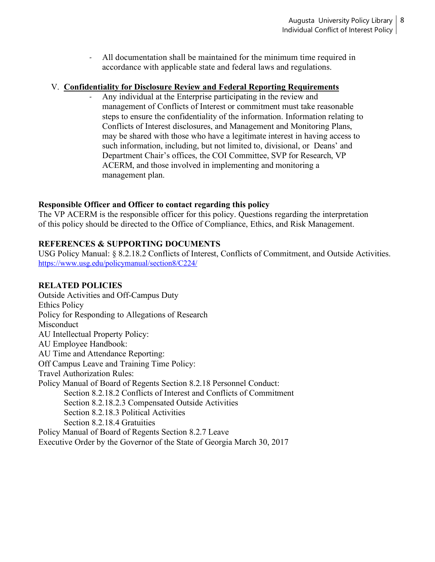- All documentation shall be maintained for the minimum time required in accordance with applicable state and federal laws and regulations.

## V. **Confidentiality for Disclosure Review and Federal Reporting Requirements**

- Any individual at the Enterprise participating in the review and management of Conflicts of Interest or commitment must take reasonable steps to ensure the confidentiality of the information. Information relating to Conflicts of Interest disclosures, and Management and Monitoring Plans, may be shared with those who have a legitimate interest in having access to such information, including, but not limited to, divisional, or Deans' and Department Chair's offices, the COI Committee, SVP for Research, VP ACERM, and those involved in implementing and monitoring a management plan.

#### **Responsible Officer and Officer to contact regarding this policy**

The VP ACERM is the responsible officer for this policy. Questions regarding the interpretation of this policy should be directed to the Office of Compliance, Ethics, and Risk Management.

## **REFERENCES & SUPPORTING DOCUMENTS**

USG Policy Manual: § 8.2.18.2 Conflicts of Interest, Conflicts of Commitment, and Outside Activities. <https://www.usg.edu/policymanual/section8/C224/>

### **RELATED POLICIES**

Outside Activities and Off-Campus Duty Ethics Policy Policy for Responding to Allegations of Research Misconduct AU Intellectual Property Policy: AU Employee Handbook: AU Time and Attendance Reporting: Off Campus Leave and Training Time Policy: Travel Authorization Rules: Policy Manual of Board of Regents Section 8.2.18 Personnel Conduct: Section 8.2.18.2 Conflicts of Interest and Conflicts of Commitment Section 8.2.18.2.3 Compensated Outside Activities Section 8.2.18.3 Political Activities Section 8.2.18.4 Gratuities Policy Manual of Board of Regents Section 8.2.7 Leave

Executive Order by the Governor of the State of Georgia March 30, 2017